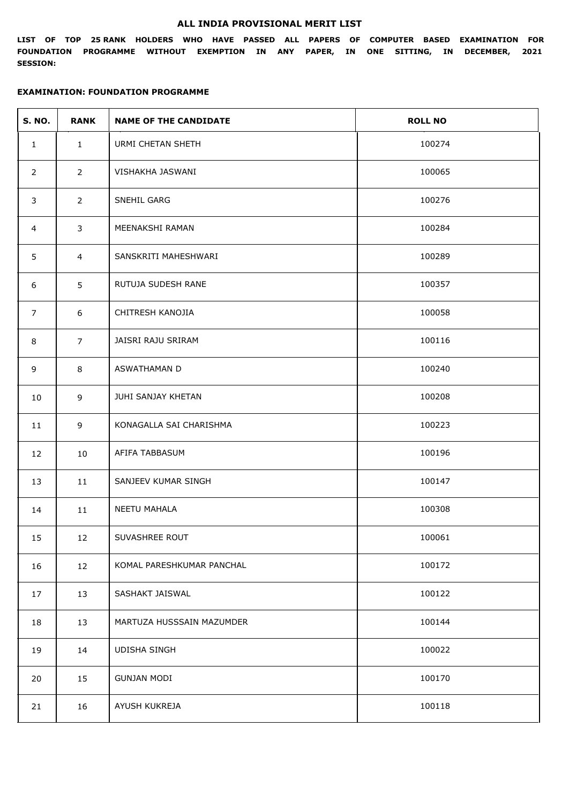## **ALL INDIA PROVISIONAL MERIT LIST**

**LIST OF TOP 25 RANK HOLDERS WHO HAVE PASSED ALL PAPERS OF COMPUTER BASED EXAMINATION FOR FOUNDATION PROGRAMME WITHOUT EXEMPTION IN ANY PAPER, IN ONE SITTING, IN DECEMBER, 2021 SESSION:**

## **EXAMINATION: FOUNDATION PROGRAMME**

| <b>S. NO.</b>  | <b>RANK</b>    | <b>NAME OF THE CANDIDATE</b> | <b>ROLL NO</b> |
|----------------|----------------|------------------------------|----------------|
| $\mathbf{1}$   | $\mathbf{1}$   | <b>URMI CHETAN SHETH</b>     | 100274         |
| $\overline{2}$ | $2^{\circ}$    | VISHAKHA JASWANI             | 100065         |
| 3              | $\overline{2}$ | SNEHIL GARG                  | 100276         |
| 4              | $\overline{3}$ | MEENAKSHI RAMAN              | 100284         |
| 5              | 4              | SANSKRITI MAHESHWARI         | 100289         |
| 6              | 5              | RUTUJA SUDESH RANE           | 100357         |
| 7              | 6              | CHITRESH KANOJIA             | 100058         |
| 8              | $\overline{7}$ | JAISRI RAJU SRIRAM           | 100116         |
| 9              | 8              | ASWATHAMAN D                 | 100240         |
| 10             | 9              | JUHI SANJAY KHETAN           | 100208         |
| 11             | 9              | KONAGALLA SAI CHARISHMA      | 100223         |
| 12             | 10             | AFIFA TABBASUM               | 100196         |
| 13             | 11             | SANJEEV KUMAR SINGH          | 100147         |
| 14             | 11             | NEETU MAHALA                 | 100308         |
| 15             | 12             | SUVASHREE ROUT               | 100061         |
| 16             | 12             | KOMAL PARESHKUMAR PANCHAL    | 100172         |
| 17             | 13             | SASHAKT JAISWAL              | 100122         |
| 18             | 13             | MARTUZA HUSSSAIN MAZUMDER    | 100144         |
| 19             | 14             | <b>UDISHA SINGH</b>          | 100022         |
| 20             | 15             | <b>GUNJAN MODI</b>           | 100170         |
| 21             | 16             | AYUSH KUKREJA                | 100118         |